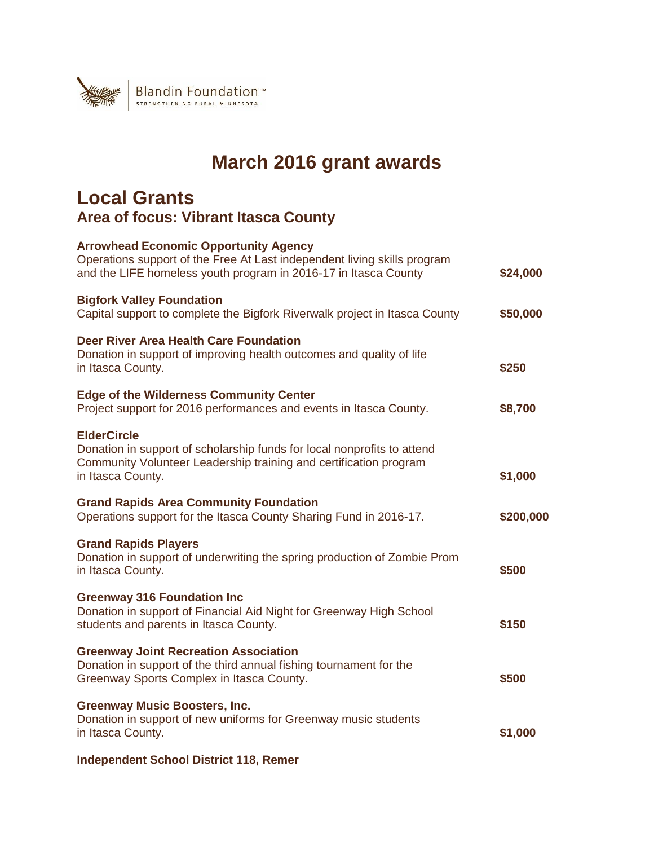

## **March 2016 grant awards**

## **Local Grants Area of focus: Vibrant Itasca County**

| <b>Arrowhead Economic Opportunity Agency</b><br>Operations support of the Free At Last independent living skills program<br>and the LIFE homeless youth program in 2016-17 in Itasca County | \$24,000  |
|---------------------------------------------------------------------------------------------------------------------------------------------------------------------------------------------|-----------|
| <b>Bigfork Valley Foundation</b><br>Capital support to complete the Bigfork Riverwalk project in Itasca County                                                                              | \$50,000  |
| Deer River Area Health Care Foundation<br>Donation in support of improving health outcomes and quality of life<br>in Itasca County.                                                         | \$250     |
| <b>Edge of the Wilderness Community Center</b><br>Project support for 2016 performances and events in Itasca County.                                                                        | \$8,700   |
| <b>ElderCircle</b><br>Donation in support of scholarship funds for local nonprofits to attend<br>Community Volunteer Leadership training and certification program<br>in Itasca County.     | \$1,000   |
| <b>Grand Rapids Area Community Foundation</b><br>Operations support for the Itasca County Sharing Fund in 2016-17.                                                                          | \$200,000 |
| <b>Grand Rapids Players</b><br>Donation in support of underwriting the spring production of Zombie Prom<br>in Itasca County.                                                                | \$500     |
| <b>Greenway 316 Foundation Inc</b><br>Donation in support of Financial Aid Night for Greenway High School<br>students and parents in Itasca County.                                         | \$150     |
| <b>Greenway Joint Recreation Association</b><br>Donation in support of the third annual fishing tournament for the<br>Greenway Sports Complex in Itasca County.                             | \$500     |
| <b>Greenway Music Boosters, Inc.</b><br>Donation in support of new uniforms for Greenway music students<br>in Itasca County.                                                                | \$1,000   |
| <b>Independent School District 118, Remer</b>                                                                                                                                               |           |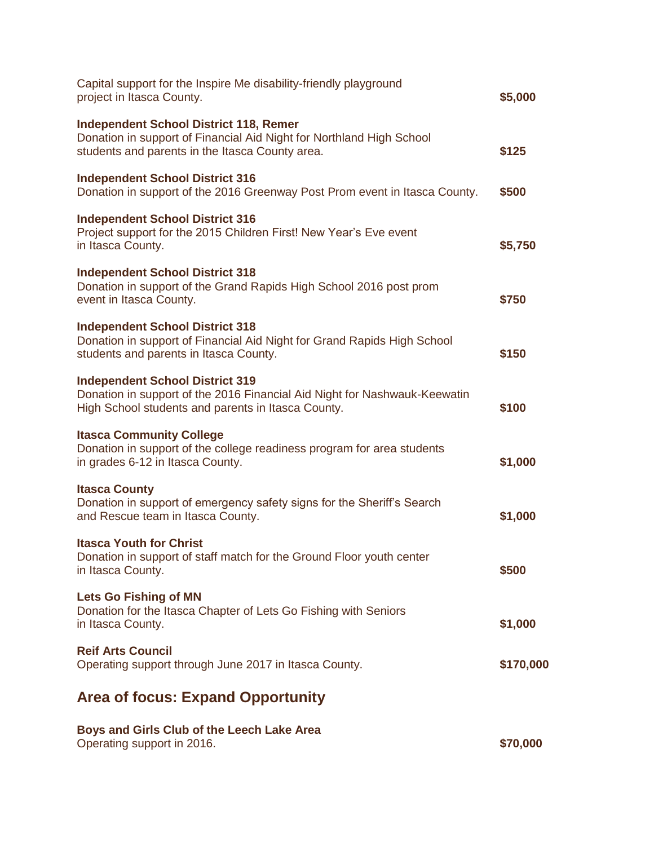| Capital support for the Inspire Me disability-friendly playground<br>project in Itasca County.                                                                            | \$5,000   |
|---------------------------------------------------------------------------------------------------------------------------------------------------------------------------|-----------|
| <b>Independent School District 118, Remer</b><br>Donation in support of Financial Aid Night for Northland High School<br>students and parents in the Itasca County area.  | \$125     |
| <b>Independent School District 316</b><br>Donation in support of the 2016 Greenway Post Prom event in Itasca County.                                                      | \$500     |
| <b>Independent School District 316</b><br>Project support for the 2015 Children First! New Year's Eve event<br>in Itasca County.                                          | \$5,750   |
| <b>Independent School District 318</b><br>Donation in support of the Grand Rapids High School 2016 post prom<br>event in Itasca County.                                   | \$750     |
| <b>Independent School District 318</b><br>Donation in support of Financial Aid Night for Grand Rapids High School<br>students and parents in Itasca County.               | \$150     |
| <b>Independent School District 319</b><br>Donation in support of the 2016 Financial Aid Night for Nashwauk-Keewatin<br>High School students and parents in Itasca County. | \$100     |
| <b>Itasca Community College</b><br>Donation in support of the college readiness program for area students<br>in grades 6-12 in Itasca County.                             | \$1,000   |
| <b>Itasca County</b><br>Donation in support of emergency safety signs for the Sheriff's Search<br>and Rescue team in Itasca County.                                       | \$1,000   |
| <b>Itasca Youth for Christ</b><br>Donation in support of staff match for the Ground Floor youth center<br>in Itasca County.                                               | \$500     |
| <b>Lets Go Fishing of MN</b><br>Donation for the Itasca Chapter of Lets Go Fishing with Seniors<br>in Itasca County.                                                      | \$1,000   |
| <b>Reif Arts Council</b><br>Operating support through June 2017 in Itasca County.                                                                                         | \$170,000 |
| <b>Area of focus: Expand Opportunity</b>                                                                                                                                  |           |
| Boys and Girls Club of the Leech Lake Area<br>Operating support in 2016.                                                                                                  | \$70,000  |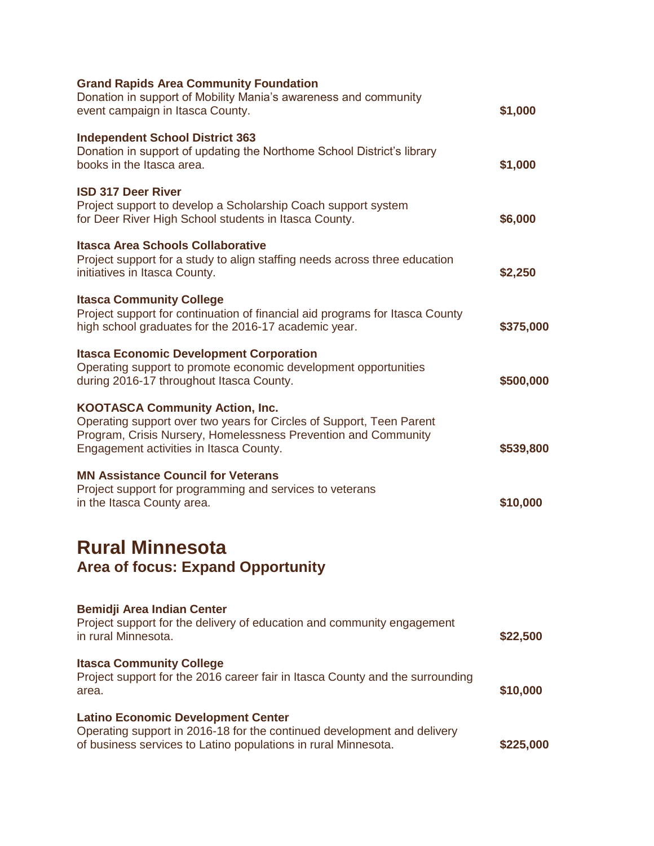| <b>Grand Rapids Area Community Foundation</b><br>Donation in support of Mobility Mania's awareness and community<br>event campaign in Itasca County.                                                                        | \$1,000   |
|-----------------------------------------------------------------------------------------------------------------------------------------------------------------------------------------------------------------------------|-----------|
| <b>Independent School District 363</b><br>Donation in support of updating the Northome School District's library<br>books in the Itasca area.                                                                               | \$1,000   |
| <b>ISD 317 Deer River</b><br>Project support to develop a Scholarship Coach support system<br>for Deer River High School students in Itasca County.                                                                         | \$6,000   |
| <b>Itasca Area Schools Collaborative</b><br>Project support for a study to align staffing needs across three education<br>initiatives in Itasca County.                                                                     | \$2,250   |
| <b>Itasca Community College</b><br>Project support for continuation of financial aid programs for Itasca County<br>high school graduates for the 2016-17 academic year.                                                     | \$375,000 |
| <b>Itasca Economic Development Corporation</b><br>Operating support to promote economic development opportunities<br>during 2016-17 throughout Itasca County.                                                               | \$500,000 |
| <b>KOOTASCA Community Action, Inc.</b><br>Operating support over two years for Circles of Support, Teen Parent<br>Program, Crisis Nursery, Homelessness Prevention and Community<br>Engagement activities in Itasca County. | \$539,800 |
| <b>MN Assistance Council for Veterans</b><br>Project support for programming and services to veterans<br>in the Itasca County area.                                                                                         | \$10,000  |
| <b>Rural Minnesota</b><br><b>Area of focus: Expand Opportunity</b>                                                                                                                                                          |           |
| <b>Bemidji Area Indian Center</b><br>Project support for the delivery of education and community engagement<br>in rural Minnesota.                                                                                          | \$22,500  |
| <b>Itasca Community College</b><br>Project support for the 2016 career fair in Itasca County and the surrounding<br>area.                                                                                                   | \$10,000  |
| <b>Latino Economic Development Center</b><br>Operating support in 2016-18 for the continued development and delivery<br>of business services to Latino populations in rural Minnesota.                                      | \$225,000 |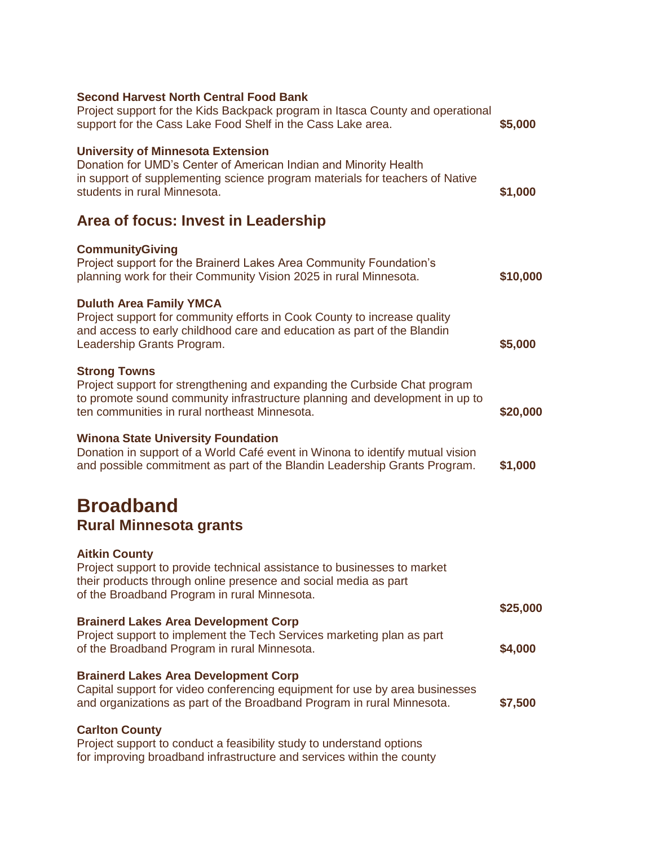| <b>Second Harvest North Central Food Bank</b><br>Project support for the Kids Backpack program in Itasca County and operational<br>support for the Cass Lake Food Shelf in the Cass Lake area.                                   | \$5,000             |
|----------------------------------------------------------------------------------------------------------------------------------------------------------------------------------------------------------------------------------|---------------------|
| <b>University of Minnesota Extension</b><br>Donation for UMD's Center of American Indian and Minority Health<br>in support of supplementing science program materials for teachers of Native<br>students in rural Minnesota.     | \$1,000             |
| Area of focus: Invest in Leadership                                                                                                                                                                                              |                     |
| <b>CommunityGiving</b><br>Project support for the Brainerd Lakes Area Community Foundation's<br>planning work for their Community Vision 2025 in rural Minnesota.                                                                | \$10,000            |
| <b>Duluth Area Family YMCA</b><br>Project support for community efforts in Cook County to increase quality<br>and access to early childhood care and education as part of the Blandin<br>Leadership Grants Program.              | \$5,000             |
| <b>Strong Towns</b><br>Project support for strengthening and expanding the Curbside Chat program<br>to promote sound community infrastructure planning and development in up to<br>ten communities in rural northeast Minnesota. | \$20,000            |
| <b>Winona State University Foundation</b><br>Donation in support of a World Café event in Winona to identify mutual vision<br>and possible commitment as part of the Blandin Leadership Grants Program.                          | \$1,000             |
| <b>Broadband</b><br><b>Rural Minnesota grants</b>                                                                                                                                                                                |                     |
| <b>Aitkin County</b><br>Project support to provide technical assistance to businesses to market<br>their products through online presence and social media as part<br>of the Broadband Program in rural Minnesota.               |                     |
| <b>Brainerd Lakes Area Development Corp</b><br>Project support to implement the Tech Services marketing plan as part<br>of the Broadband Program in rural Minnesota.                                                             | \$25,000<br>\$4,000 |
| <b>Brainerd Lakes Area Development Corp</b><br>Capital support for video conferencing equipment for use by area businesses<br>and organizations as part of the Broadband Program in rural Minnesota.                             | \$7,500             |
| <b>Carlton County</b><br>Project support to conduct a feasibility study to understand options                                                                                                                                    |                     |

for improving broadband infrastructure and services within the county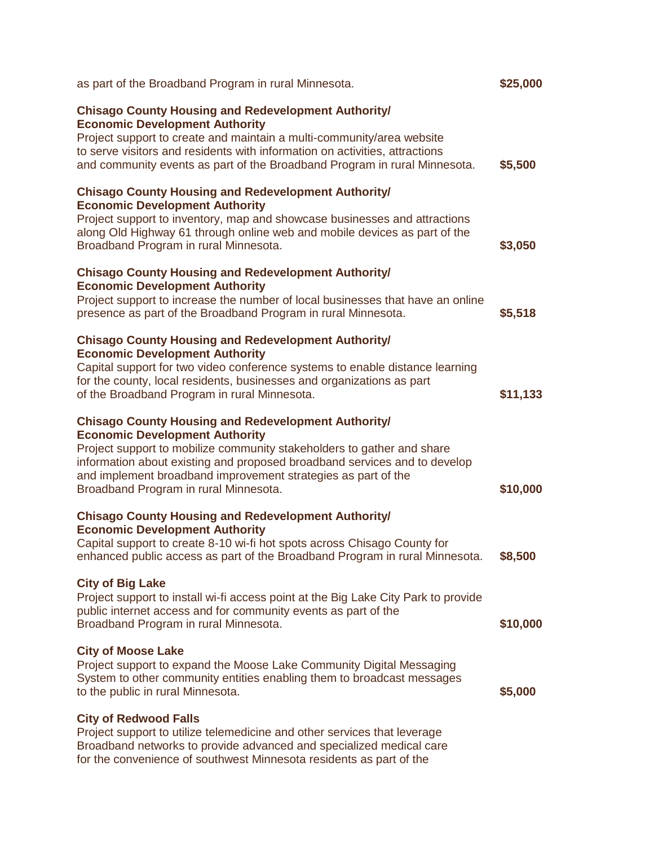| as part of the Broadband Program in rural Minnesota.                                                                                                                                                                                                                                                                                                                 | \$25,000 |
|----------------------------------------------------------------------------------------------------------------------------------------------------------------------------------------------------------------------------------------------------------------------------------------------------------------------------------------------------------------------|----------|
| <b>Chisago County Housing and Redevelopment Authority/</b><br><b>Economic Development Authority</b><br>Project support to create and maintain a multi-community/area website<br>to serve visitors and residents with information on activities, attractions<br>and community events as part of the Broadband Program in rural Minnesota.                             | \$5,500  |
| <b>Chisago County Housing and Redevelopment Authority/</b><br><b>Economic Development Authority</b><br>Project support to inventory, map and showcase businesses and attractions<br>along Old Highway 61 through online web and mobile devices as part of the<br>Broadband Program in rural Minnesota.                                                               | \$3,050  |
| <b>Chisago County Housing and Redevelopment Authority/</b><br><b>Economic Development Authority</b><br>Project support to increase the number of local businesses that have an online<br>presence as part of the Broadband Program in rural Minnesota.                                                                                                               | \$5,518  |
| <b>Chisago County Housing and Redevelopment Authority/</b><br><b>Economic Development Authority</b><br>Capital support for two video conference systems to enable distance learning<br>for the county, local residents, businesses and organizations as part<br>of the Broadband Program in rural Minnesota.                                                         | \$11,133 |
| <b>Chisago County Housing and Redevelopment Authority/</b><br><b>Economic Development Authority</b><br>Project support to mobilize community stakeholders to gather and share<br>information about existing and proposed broadband services and to develop<br>and implement broadband improvement strategies as part of the<br>Broadband Program in rural Minnesota. | \$10,000 |
| <b>Chisago County Housing and Redevelopment Authority/</b><br><b>Economic Development Authority</b><br>Capital support to create 8-10 wi-fi hot spots across Chisago County for<br>enhanced public access as part of the Broadband Program in rural Minnesota.                                                                                                       | \$8,500  |
| <b>City of Big Lake</b><br>Project support to install wi-fi access point at the Big Lake City Park to provide<br>public internet access and for community events as part of the<br>Broadband Program in rural Minnesota.                                                                                                                                             | \$10,000 |
| <b>City of Moose Lake</b><br>Project support to expand the Moose Lake Community Digital Messaging<br>System to other community entities enabling them to broadcast messages<br>to the public in rural Minnesota.                                                                                                                                                     | \$5,000  |
| <b>City of Redwood Falls</b><br>Project support to utilize telemedicine and other services that leverage<br>Broadband networks to provide advanced and specialized medical care<br>for the convenience of southwest Minnesota residents as part of the                                                                                                               |          |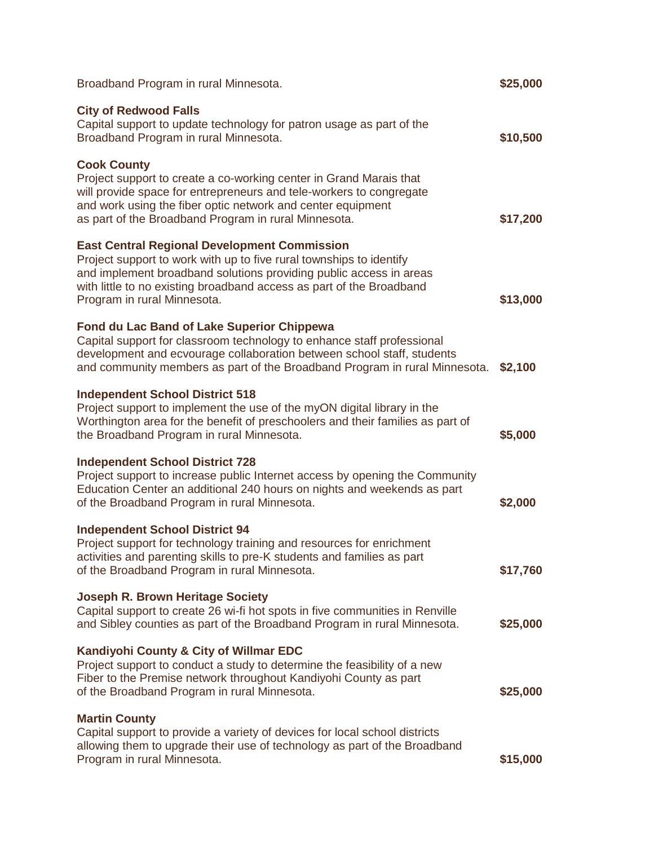| Broadband Program in rural Minnesota.                                                                                                                                                                                                                                                                   | \$25,000 |
|---------------------------------------------------------------------------------------------------------------------------------------------------------------------------------------------------------------------------------------------------------------------------------------------------------|----------|
| <b>City of Redwood Falls</b><br>Capital support to update technology for patron usage as part of the<br>Broadband Program in rural Minnesota.                                                                                                                                                           | \$10,500 |
| <b>Cook County</b><br>Project support to create a co-working center in Grand Marais that<br>will provide space for entrepreneurs and tele-workers to congregate<br>and work using the fiber optic network and center equipment<br>as part of the Broadband Program in rural Minnesota.                  | \$17,200 |
| <b>East Central Regional Development Commission</b><br>Project support to work with up to five rural townships to identify<br>and implement broadband solutions providing public access in areas<br>with little to no existing broadband access as part of the Broadband<br>Program in rural Minnesota. | \$13,000 |
| <b>Fond du Lac Band of Lake Superior Chippewa</b><br>Capital support for classroom technology to enhance staff professional<br>development and ecvourage collaboration between school staff, students<br>and community members as part of the Broadband Program in rural Minnesota.                     | \$2,100  |
| <b>Independent School District 518</b><br>Project support to implement the use of the myON digital library in the<br>Worthington area for the benefit of preschoolers and their families as part of<br>the Broadband Program in rural Minnesota.                                                        | \$5,000  |
| <b>Independent School District 728</b><br>Project support to increase public Internet access by opening the Community<br>Education Center an additional 240 hours on nights and weekends as part<br>of the Broadband Program in rural Minnesota.                                                        | \$2,000  |
| <b>Independent School District 94</b><br>Project support for technology training and resources for enrichment<br>activities and parenting skills to pre-K students and families as part<br>of the Broadband Program in rural Minnesota.                                                                 | \$17,760 |
| <b>Joseph R. Brown Heritage Society</b><br>Capital support to create 26 wi-fi hot spots in five communities in Renville<br>and Sibley counties as part of the Broadband Program in rural Minnesota.                                                                                                     | \$25,000 |
| Kandiyohi County & City of Willmar EDC<br>Project support to conduct a study to determine the feasibility of a new<br>Fiber to the Premise network throughout Kandiyohi County as part<br>of the Broadband Program in rural Minnesota.                                                                  | \$25,000 |
| <b>Martin County</b><br>Capital support to provide a variety of devices for local school districts<br>allowing them to upgrade their use of technology as part of the Broadband<br>Program in rural Minnesota.                                                                                          | \$15,000 |
|                                                                                                                                                                                                                                                                                                         |          |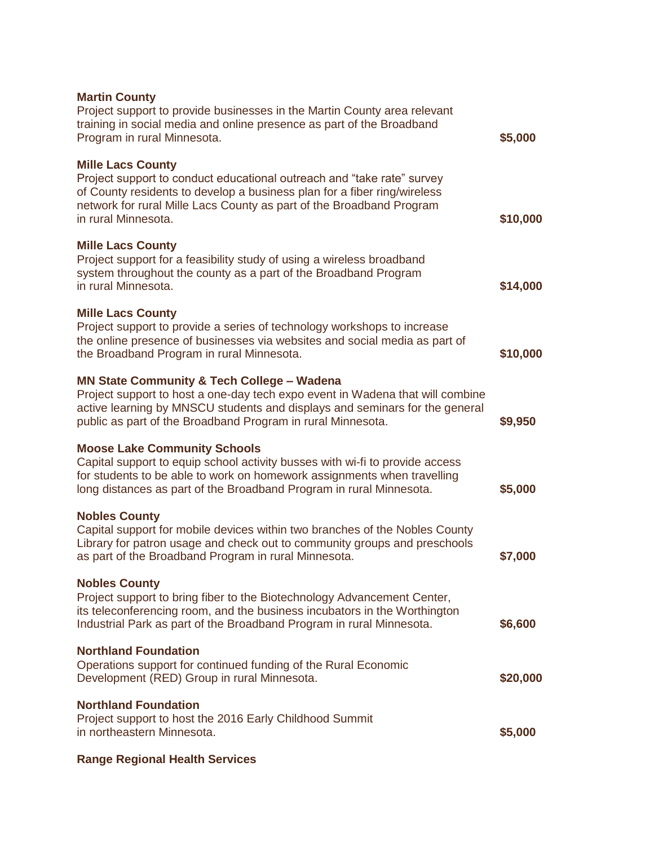| <b>Martin County</b><br>Project support to provide businesses in the Martin County area relevant<br>training in social media and online presence as part of the Broadband<br>Program in rural Minnesota.                                                                             | \$5,000  |
|--------------------------------------------------------------------------------------------------------------------------------------------------------------------------------------------------------------------------------------------------------------------------------------|----------|
| <b>Mille Lacs County</b><br>Project support to conduct educational outreach and "take rate" survey<br>of County residents to develop a business plan for a fiber ring/wireless<br>network for rural Mille Lacs County as part of the Broadband Program<br>in rural Minnesota.        | \$10,000 |
| <b>Mille Lacs County</b><br>Project support for a feasibility study of using a wireless broadband<br>system throughout the county as a part of the Broadband Program<br>in rural Minnesota.                                                                                          | \$14,000 |
| <b>Mille Lacs County</b><br>Project support to provide a series of technology workshops to increase<br>the online presence of businesses via websites and social media as part of<br>the Broadband Program in rural Minnesota.                                                       | \$10,000 |
| <b>MN State Community &amp; Tech College - Wadena</b><br>Project support to host a one-day tech expo event in Wadena that will combine<br>active learning by MNSCU students and displays and seminars for the general<br>public as part of the Broadband Program in rural Minnesota. | \$9,950  |
| <b>Moose Lake Community Schools</b><br>Capital support to equip school activity busses with wi-fi to provide access<br>for students to be able to work on homework assignments when travelling<br>long distances as part of the Broadband Program in rural Minnesota.                | \$5,000  |
| <b>Nobles County</b><br>Capital support for mobile devices within two branches of the Nobles County<br>Library for patron usage and check out to community groups and preschools<br>as part of the Broadband Program in rural Minnesota.                                             | \$7,000  |
| <b>Nobles County</b><br>Project support to bring fiber to the Biotechnology Advancement Center,<br>its teleconferencing room, and the business incubators in the Worthington<br>Industrial Park as part of the Broadband Program in rural Minnesota.                                 | \$6,600  |
| <b>Northland Foundation</b><br>Operations support for continued funding of the Rural Economic<br>Development (RED) Group in rural Minnesota.                                                                                                                                         | \$20,000 |
| <b>Northland Foundation</b><br>Project support to host the 2016 Early Childhood Summit<br>in northeastern Minnesota.                                                                                                                                                                 | \$5,000  |
|                                                                                                                                                                                                                                                                                      |          |

## **Range Regional Health Services**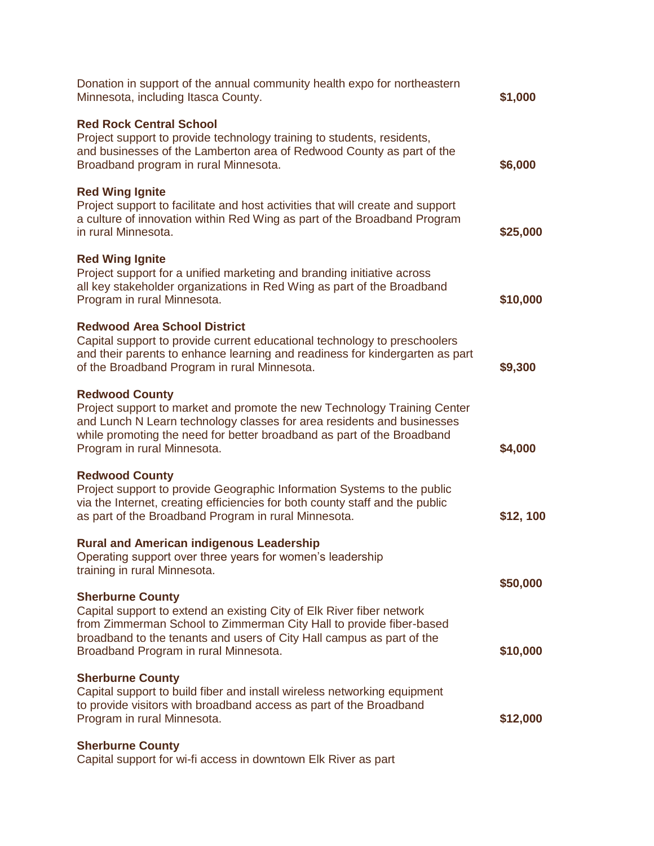| Donation in support of the annual community health expo for northeastern<br>Minnesota, including Itasca County.                                                                                                                                                                           | \$1,000   |
|-------------------------------------------------------------------------------------------------------------------------------------------------------------------------------------------------------------------------------------------------------------------------------------------|-----------|
| <b>Red Rock Central School</b><br>Project support to provide technology training to students, residents,<br>and businesses of the Lamberton area of Redwood County as part of the<br>Broadband program in rural Minnesota.                                                                | \$6,000   |
| <b>Red Wing Ignite</b><br>Project support to facilitate and host activities that will create and support<br>a culture of innovation within Red Wing as part of the Broadband Program<br>in rural Minnesota.                                                                               | \$25,000  |
| <b>Red Wing Ignite</b><br>Project support for a unified marketing and branding initiative across<br>all key stakeholder organizations in Red Wing as part of the Broadband<br>Program in rural Minnesota.                                                                                 | \$10,000  |
| <b>Redwood Area School District</b><br>Capital support to provide current educational technology to preschoolers<br>and their parents to enhance learning and readiness for kindergarten as part<br>of the Broadband Program in rural Minnesota.                                          | \$9,300   |
| <b>Redwood County</b><br>Project support to market and promote the new Technology Training Center<br>and Lunch N Learn technology classes for area residents and businesses<br>while promoting the need for better broadband as part of the Broadband<br>Program in rural Minnesota.      | \$4,000   |
| <b>Redwood County</b><br>Project support to provide Geographic Information Systems to the public<br>via the Internet, creating efficiencies for both county staff and the public<br>as part of the Broadband Program in rural Minnesota.                                                  | \$12, 100 |
| <b>Rural and American indigenous Leadership</b><br>Operating support over three years for women's leadership<br>training in rural Minnesota.                                                                                                                                              | \$50,000  |
| <b>Sherburne County</b><br>Capital support to extend an existing City of Elk River fiber network<br>from Zimmerman School to Zimmerman City Hall to provide fiber-based<br>broadband to the tenants and users of City Hall campus as part of the<br>Broadband Program in rural Minnesota. | \$10,000  |
| <b>Sherburne County</b><br>Capital support to build fiber and install wireless networking equipment<br>to provide visitors with broadband access as part of the Broadband<br>Program in rural Minnesota.                                                                                  | \$12,000  |
| <b>Sherburne County</b><br>Capital support for wi-fi access in downtown Elk River as part                                                                                                                                                                                                 |           |